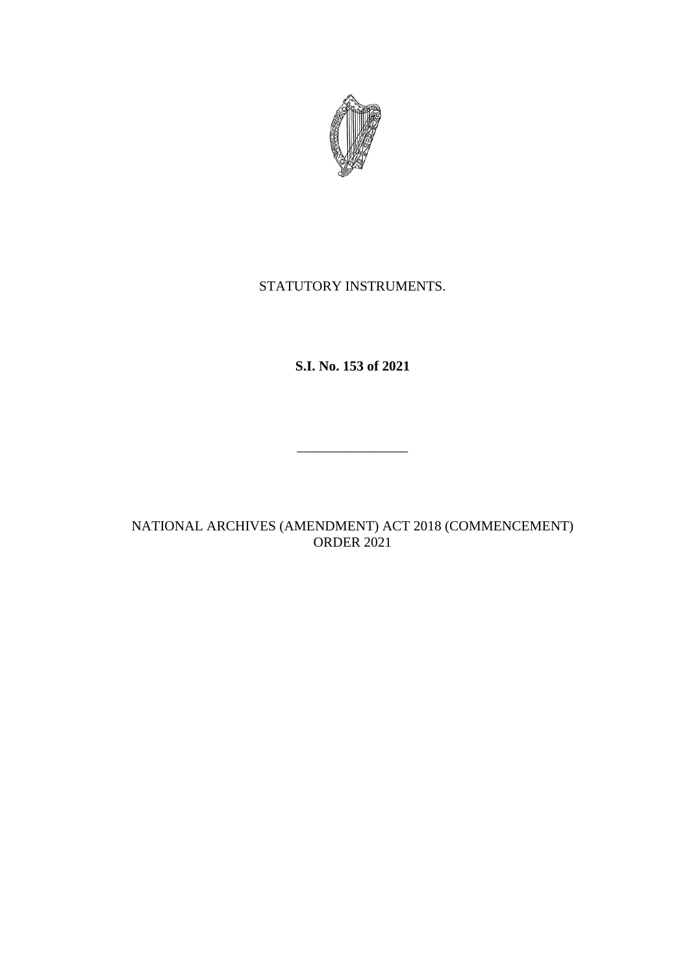

## STATUTORY INSTRUMENTS.

**S.I. No. 153 of 2021**

\_\_\_\_\_\_\_\_\_\_\_\_\_\_\_\_

NATIONAL ARCHIVES (AMENDMENT) ACT 2018 (COMMENCEMENT) ORDER 2021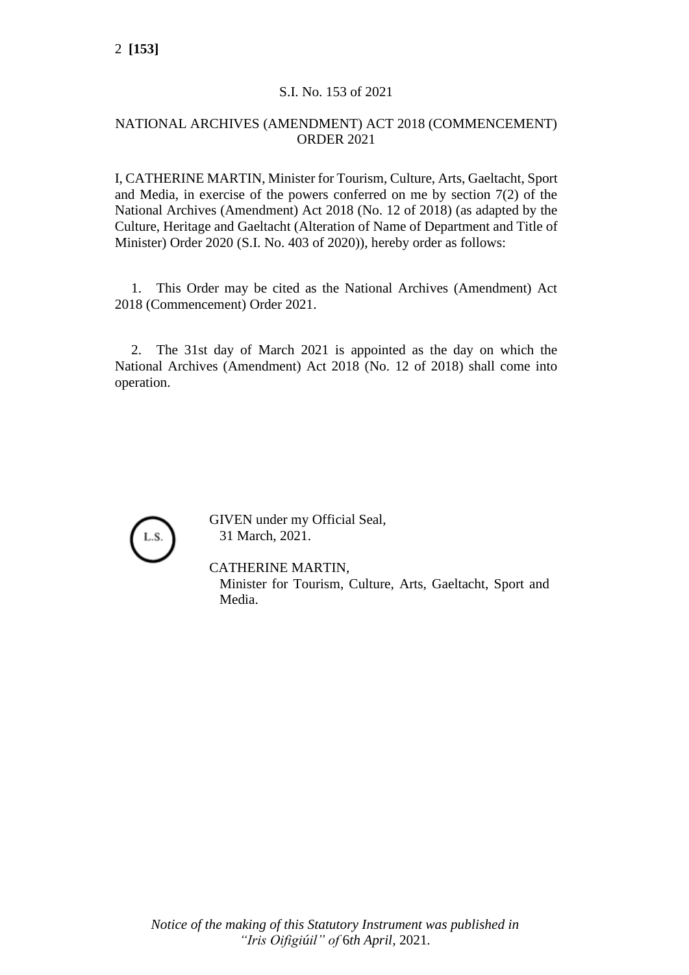## S.I. No. 153 of 2021

## NATIONAL ARCHIVES (AMENDMENT) ACT 2018 (COMMENCEMENT) ORDER 2021

I, CATHERINE MARTIN, Minister for Tourism, Culture, Arts, Gaeltacht, Sport and Media, in exercise of the powers conferred on me by section 7(2) of the National Archives (Amendment) Act 2018 (No. 12 of 2018) (as adapted by the Culture, Heritage and Gaeltacht (Alteration of Name of Department and Title of Minister) Order 2020 (S.I. No. 403 of 2020)), hereby order as follows:

1. This Order may be cited as the National Archives (Amendment) Act 2018 (Commencement) Order 2021.

2. The 31st day of March 2021 is appointed as the day on which the National Archives (Amendment) Act 2018 (No. 12 of 2018) shall come into operation.



GIVEN under my Official Seal, 31 March, 2021.

CATHERINE MARTIN,

Minister for Tourism, Culture, Arts, Gaeltacht, Sport and Media.